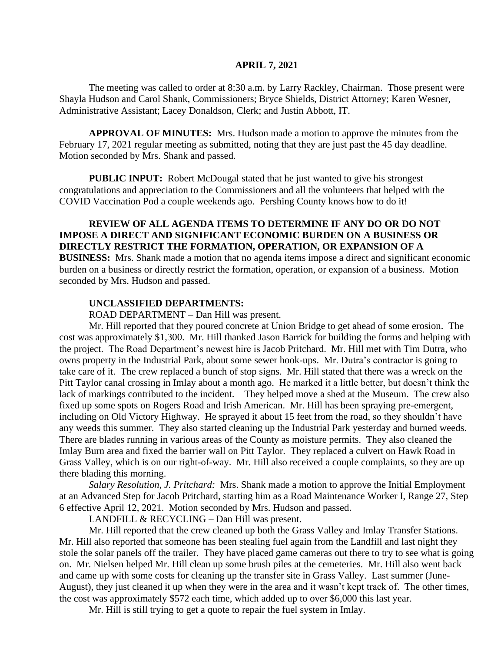#### **APRIL 7, 2021**

The meeting was called to order at 8:30 a.m. by Larry Rackley, Chairman. Those present were Shayla Hudson and Carol Shank, Commissioners; Bryce Shields, District Attorney; Karen Wesner, Administrative Assistant; Lacey Donaldson, Clerk; and Justin Abbott, IT.

**APPROVAL OF MINUTES:** Mrs. Hudson made a motion to approve the minutes from the February 17, 2021 regular meeting as submitted, noting that they are just past the 45 day deadline. Motion seconded by Mrs. Shank and passed.

**PUBLIC INPUT:** Robert McDougal stated that he just wanted to give his strongest congratulations and appreciation to the Commissioners and all the volunteers that helped with the COVID Vaccination Pod a couple weekends ago. Pershing County knows how to do it!

## **REVIEW OF ALL AGENDA ITEMS TO DETERMINE IF ANY DO OR DO NOT IMPOSE A DIRECT AND SIGNIFICANT ECONOMIC BURDEN ON A BUSINESS OR DIRECTLY RESTRICT THE FORMATION, OPERATION, OR EXPANSION OF A**

**BUSINESS:** Mrs. Shank made a motion that no agenda items impose a direct and significant economic burden on a business or directly restrict the formation, operation, or expansion of a business. Motion seconded by Mrs. Hudson and passed.

# **UNCLASSIFIED DEPARTMENTS:**

ROAD DEPARTMENT – Dan Hill was present.

Mr. Hill reported that they poured concrete at Union Bridge to get ahead of some erosion. The cost was approximately \$1,300. Mr. Hill thanked Jason Barrick for building the forms and helping with the project. The Road Department's newest hire is Jacob Pritchard. Mr. Hill met with Tim Dutra, who owns property in the Industrial Park, about some sewer hook-ups. Mr. Dutra's contractor is going to take care of it. The crew replaced a bunch of stop signs. Mr. Hill stated that there was a wreck on the Pitt Taylor canal crossing in Imlay about a month ago. He marked it a little better, but doesn't think the lack of markings contributed to the incident. They helped move a shed at the Museum. The crew also fixed up some spots on Rogers Road and Irish American. Mr. Hill has been spraying pre-emergent, including on Old Victory Highway. He sprayed it about 15 feet from the road, so they shouldn't have any weeds this summer. They also started cleaning up the Industrial Park yesterday and burned weeds. There are blades running in various areas of the County as moisture permits. They also cleaned the Imlay Burn area and fixed the barrier wall on Pitt Taylor. They replaced a culvert on Hawk Road in Grass Valley, which is on our right-of-way. Mr. Hill also received a couple complaints, so they are up there blading this morning.

*Salary Resolution, J. Pritchard:* Mrs. Shank made a motion to approve the Initial Employment at an Advanced Step for Jacob Pritchard, starting him as a Road Maintenance Worker I, Range 27, Step 6 effective April 12, 2021. Motion seconded by Mrs. Hudson and passed.

LANDFILL & RECYCLING – Dan Hill was present.

Mr. Hill reported that the crew cleaned up both the Grass Valley and Imlay Transfer Stations. Mr. Hill also reported that someone has been stealing fuel again from the Landfill and last night they stole the solar panels off the trailer. They have placed game cameras out there to try to see what is going on. Mr. Nielsen helped Mr. Hill clean up some brush piles at the cemeteries. Mr. Hill also went back and came up with some costs for cleaning up the transfer site in Grass Valley. Last summer (June-August), they just cleaned it up when they were in the area and it wasn't kept track of. The other times, the cost was approximately \$572 each time, which added up to over \$6,000 this last year.

Mr. Hill is still trying to get a quote to repair the fuel system in Imlay.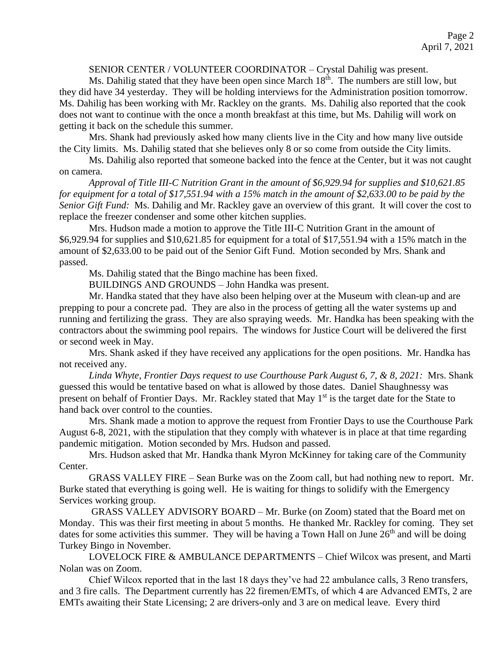# SENIOR CENTER / VOLUNTEER COORDINATOR – Crystal Dahilig was present.

Ms. Dahilig stated that they have been open since March 18<sup>th</sup>. The numbers are still low, but they did have 34 yesterday. They will be holding interviews for the Administration position tomorrow. Ms. Dahilig has been working with Mr. Rackley on the grants. Ms. Dahilig also reported that the cook does not want to continue with the once a month breakfast at this time, but Ms. Dahilig will work on getting it back on the schedule this summer.

Mrs. Shank had previously asked how many clients live in the City and how many live outside the City limits. Ms. Dahilig stated that she believes only 8 or so come from outside the City limits.

Ms. Dahilig also reported that someone backed into the fence at the Center, but it was not caught on camera.

*Approval of Title III-C Nutrition Grant in the amount of \$6,929.94 for supplies and \$10,621.85 for equipment for a total of \$17,551.94 with a 15% match in the amount of \$2,633.00 to be paid by the Senior Gift Fund:* Ms. Dahilig and Mr. Rackley gave an overview of this grant. It will cover the cost to replace the freezer condenser and some other kitchen supplies.

Mrs. Hudson made a motion to approve the Title III-C Nutrition Grant in the amount of \$6,929.94 for supplies and \$10,621.85 for equipment for a total of \$17,551.94 with a 15% match in the amount of \$2,633.00 to be paid out of the Senior Gift Fund. Motion seconded by Mrs. Shank and passed.

Ms. Dahilig stated that the Bingo machine has been fixed.

BUILDINGS AND GROUNDS – John Handka was present.

Mr. Handka stated that they have also been helping over at the Museum with clean-up and are prepping to pour a concrete pad. They are also in the process of getting all the water systems up and running and fertilizing the grass. They are also spraying weeds. Mr. Handka has been speaking with the contractors about the swimming pool repairs. The windows for Justice Court will be delivered the first or second week in May.

Mrs. Shank asked if they have received any applications for the open positions. Mr. Handka has not received any.

*Linda Whyte, Frontier Days request to use Courthouse Park August 6, 7, & 8, 2021:* Mrs. Shank guessed this would be tentative based on what is allowed by those dates. Daniel Shaughnessy was present on behalf of Frontier Days. Mr. Rackley stated that May 1<sup>st</sup> is the target date for the State to hand back over control to the counties.

Mrs. Shank made a motion to approve the request from Frontier Days to use the Courthouse Park August 6-8, 2021, with the stipulation that they comply with whatever is in place at that time regarding pandemic mitigation. Motion seconded by Mrs. Hudson and passed.

Mrs. Hudson asked that Mr. Handka thank Myron McKinney for taking care of the Community Center.

GRASS VALLEY FIRE – Sean Burke was on the Zoom call, but had nothing new to report. Mr. Burke stated that everything is going well. He is waiting for things to solidify with the Emergency Services working group.

GRASS VALLEY ADVISORY BOARD – Mr. Burke (on Zoom) stated that the Board met on Monday. This was their first meeting in about 5 months. He thanked Mr. Rackley for coming. They set dates for some activities this summer. They will be having a Town Hall on June  $26<sup>th</sup>$  and will be doing Turkey Bingo in November.

LOVELOCK FIRE & AMBULANCE DEPARTMENTS – Chief Wilcox was present, and Marti Nolan was on Zoom.

Chief Wilcox reported that in the last 18 days they've had 22 ambulance calls, 3 Reno transfers, and 3 fire calls. The Department currently has 22 firemen/EMTs, of which 4 are Advanced EMTs, 2 are EMTs awaiting their State Licensing; 2 are drivers-only and 3 are on medical leave. Every third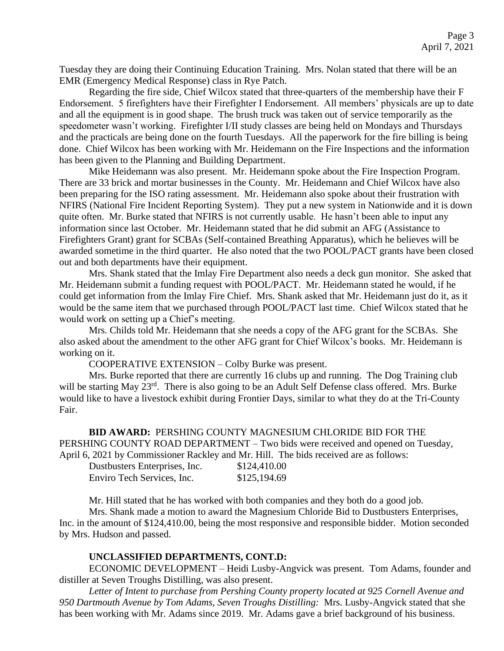Tuesday they are doing their Continuing Education Training. Mrs. Nolan stated that there will be an EMR (Emergency Medical Response) class in Rye Patch.

Regarding the fire side, Chief Wilcox stated that three-quarters of the membership have their F Endorsement. 5 firefighters have their Firefighter I Endorsement. All members' physicals are up to date and all the equipment is in good shape. The brush truck was taken out of service temporarily as the speedometer wasn't working. Firefighter I/II study classes are being held on Mondays and Thursdays and the practicals are being done on the fourth Tuesdays. All the paperwork for the fire billing is being done. Chief Wilcox has been working with Mr. Heidemann on the Fire Inspections and the information has been given to the Planning and Building Department.

Mike Heidemann was also present. Mr. Heidemann spoke about the Fire Inspection Program. There are 33 brick and mortar businesses in the County. Mr. Heidemann and Chief Wilcox have also been preparing for the ISO rating assessment. Mr. Heidemann also spoke about their frustration with NFIRS (National Fire Incident Reporting System). They put a new system in Nationwide and it is down quite often. Mr. Burke stated that NFIRS is not currently usable. He hasn't been able to input any information since last October. Mr. Heidemann stated that he did submit an AFG (Assistance to Firefighters Grant) grant for SCBAs (Self-contained Breathing Apparatus), which he believes will be awarded sometime in the third quarter. He also noted that the two POOL/PACT grants have been closed out and both departments have their equipment.

Mrs. Shank stated that the Imlay Fire Department also needs a deck gun monitor. She asked that Mr. Heidemann submit a funding request with POOL/PACT. Mr. Heidemann stated he would, if he could get information from the Imlay Fire Chief. Mrs. Shank asked that Mr. Heidemann just do it, as it would be the same item that we purchased through POOL/PACT last time. Chief Wilcox stated that he would work on setting up a Chief's meeting.

Mrs. Childs told Mr. Heidemann that she needs a copy of the AFG grant for the SCBAs. She also asked about the amendment to the other AFG grant for Chief Wilcox's books. Mr. Heidemann is working on it.

COOPERATIVE EXTENSION – Colby Burke was present.

Mrs. Burke reported that there are currently 16 clubs up and running. The Dog Training club will be starting May 23<sup>rd</sup>. There is also going to be an Adult Self Defense class offered. Mrs. Burke would like to have a livestock exhibit during Frontier Days, similar to what they do at the Tri-County Fair.

**BID AWARD:** PERSHING COUNTY MAGNESIUM CHLORIDE BID FOR THE PERSHING COUNTY ROAD DEPARTMENT – Two bids were received and opened on Tuesday, April 6, 2021 by Commissioner Rackley and Mr. Hill. The bids received are as follows:

| Dustbusters Enterprises, Inc. | \$124,410.00 |
|-------------------------------|--------------|
| Enviro Tech Services, Inc.    | \$125,194.69 |

Mr. Hill stated that he has worked with both companies and they both do a good job.

Mrs. Shank made a motion to award the Magnesium Chloride Bid to Dustbusters Enterprises, Inc. in the amount of \$124,410.00, being the most responsive and responsible bidder. Motion seconded by Mrs. Hudson and passed.

## **UNCLASSIFIED DEPARTMENTS, CONT.D:**

ECONOMIC DEVELOPMENT – Heidi Lusby-Angvick was present. Tom Adams, founder and distiller at Seven Troughs Distilling, was also present.

*Letter of Intent to purchase from Pershing County property located at 925 Cornell Avenue and 950 Dartmouth Avenue by Tom Adams, Seven Troughs Distilling:* Mrs. Lusby-Angvick stated that she has been working with Mr. Adams since 2019. Mr. Adams gave a brief background of his business.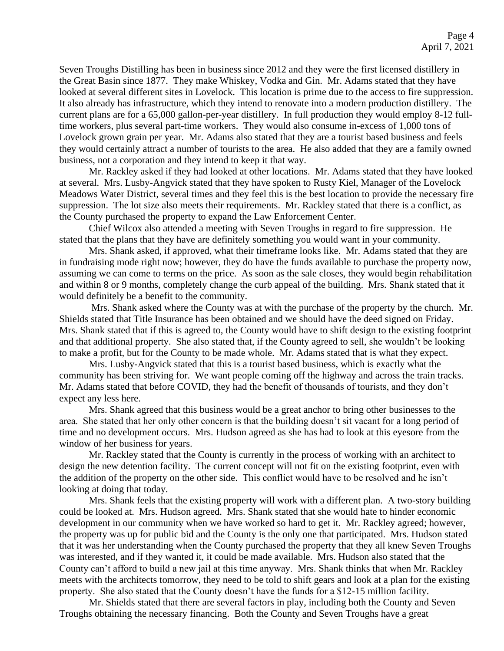Seven Troughs Distilling has been in business since 2012 and they were the first licensed distillery in the Great Basin since 1877. They make Whiskey, Vodka and Gin. Mr. Adams stated that they have looked at several different sites in Lovelock. This location is prime due to the access to fire suppression. It also already has infrastructure, which they intend to renovate into a modern production distillery. The current plans are for a 65,000 gallon-per-year distillery. In full production they would employ 8-12 fulltime workers, plus several part-time workers. They would also consume in-excess of 1,000 tons of Lovelock grown grain per year. Mr. Adams also stated that they are a tourist based business and feels they would certainly attract a number of tourists to the area. He also added that they are a family owned business, not a corporation and they intend to keep it that way.

Mr. Rackley asked if they had looked at other locations. Mr. Adams stated that they have looked at several. Mrs. Lusby-Angvick stated that they have spoken to Rusty Kiel, Manager of the Lovelock Meadows Water District, several times and they feel this is the best location to provide the necessary fire suppression. The lot size also meets their requirements. Mr. Rackley stated that there is a conflict, as the County purchased the property to expand the Law Enforcement Center.

Chief Wilcox also attended a meeting with Seven Troughs in regard to fire suppression. He stated that the plans that they have are definitely something you would want in your community.

Mrs. Shank asked, if approved, what their timeframe looks like. Mr. Adams stated that they are in fundraising mode right now; however, they do have the funds available to purchase the property now, assuming we can come to terms on the price. As soon as the sale closes, they would begin rehabilitation and within 8 or 9 months, completely change the curb appeal of the building. Mrs. Shank stated that it would definitely be a benefit to the community.

Mrs. Shank asked where the County was at with the purchase of the property by the church. Mr. Shields stated that Title Insurance has been obtained and we should have the deed signed on Friday. Mrs. Shank stated that if this is agreed to, the County would have to shift design to the existing footprint and that additional property. She also stated that, if the County agreed to sell, she wouldn't be looking to make a profit, but for the County to be made whole. Mr. Adams stated that is what they expect.

Mrs. Lusby-Angvick stated that this is a tourist based business, which is exactly what the community has been striving for. We want people coming off the highway and across the train tracks. Mr. Adams stated that before COVID, they had the benefit of thousands of tourists, and they don't expect any less here.

Mrs. Shank agreed that this business would be a great anchor to bring other businesses to the area. She stated that her only other concern is that the building doesn't sit vacant for a long period of time and no development occurs. Mrs. Hudson agreed as she has had to look at this eyesore from the window of her business for years.

Mr. Rackley stated that the County is currently in the process of working with an architect to design the new detention facility. The current concept will not fit on the existing footprint, even with the addition of the property on the other side. This conflict would have to be resolved and he isn't looking at doing that today.

Mrs. Shank feels that the existing property will work with a different plan. A two-story building could be looked at. Mrs. Hudson agreed. Mrs. Shank stated that she would hate to hinder economic development in our community when we have worked so hard to get it. Mr. Rackley agreed; however, the property was up for public bid and the County is the only one that participated. Mrs. Hudson stated that it was her understanding when the County purchased the property that they all knew Seven Troughs was interested, and if they wanted it, it could be made available. Mrs. Hudson also stated that the County can't afford to build a new jail at this time anyway. Mrs. Shank thinks that when Mr. Rackley meets with the architects tomorrow, they need to be told to shift gears and look at a plan for the existing property. She also stated that the County doesn't have the funds for a \$12-15 million facility.

Mr. Shields stated that there are several factors in play, including both the County and Seven Troughs obtaining the necessary financing. Both the County and Seven Troughs have a great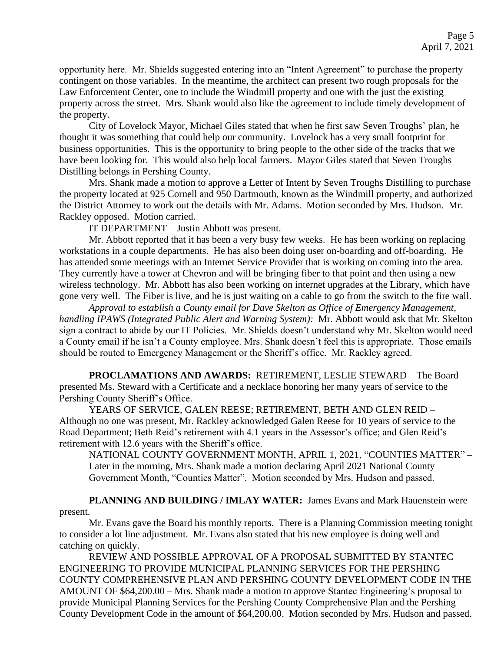opportunity here. Mr. Shields suggested entering into an "Intent Agreement" to purchase the property contingent on those variables. In the meantime, the architect can present two rough proposals for the Law Enforcement Center, one to include the Windmill property and one with the just the existing property across the street. Mrs. Shank would also like the agreement to include timely development of the property.

City of Lovelock Mayor, Michael Giles stated that when he first saw Seven Troughs' plan, he thought it was something that could help our community. Lovelock has a very small footprint for business opportunities. This is the opportunity to bring people to the other side of the tracks that we have been looking for. This would also help local farmers. Mayor Giles stated that Seven Troughs Distilling belongs in Pershing County.

Mrs. Shank made a motion to approve a Letter of Intent by Seven Troughs Distilling to purchase the property located at 925 Cornell and 950 Dartmouth, known as the Windmill property, and authorized the District Attorney to work out the details with Mr. Adams. Motion seconded by Mrs. Hudson. Mr. Rackley opposed. Motion carried.

IT DEPARTMENT – Justin Abbott was present.

Mr. Abbott reported that it has been a very busy few weeks. He has been working on replacing workstations in a couple departments. He has also been doing user on-boarding and off-boarding. He has attended some meetings with an Internet Service Provider that is working on coming into the area. They currently have a tower at Chevron and will be bringing fiber to that point and then using a new wireless technology. Mr. Abbott has also been working on internet upgrades at the Library, which have gone very well. The Fiber is live, and he is just waiting on a cable to go from the switch to the fire wall.

*Approval to establish a County email for Dave Skelton as Office of Emergency Management, handling IPAWS (Integrated Public Alert and Warning System):* Mr. Abbott would ask that Mr. Skelton sign a contract to abide by our IT Policies. Mr. Shields doesn't understand why Mr. Skelton would need a County email if he isn't a County employee. Mrs. Shank doesn't feel this is appropriate. Those emails should be routed to Emergency Management or the Sheriff's office. Mr. Rackley agreed.

**PROCLAMATIONS AND AWARDS:** RETIREMENT, LESLIE STEWARD – The Board presented Ms. Steward with a Certificate and a necklace honoring her many years of service to the Pershing County Sheriff's Office.

YEARS OF SERVICE, GALEN REESE; RETIREMENT, BETH AND GLEN REID – Although no one was present, Mr. Rackley acknowledged Galen Reese for 10 years of service to the Road Department; Beth Reid's retirement with 4.1 years in the Assessor's office; and Glen Reid's retirement with 12.6 years with the Sheriff's office.

NATIONAL COUNTY GOVERNMENT MONTH, APRIL 1, 2021, "COUNTIES MATTER" – Later in the morning, Mrs. Shank made a motion declaring April 2021 National County Government Month, "Counties Matter". Motion seconded by Mrs. Hudson and passed.

**PLANNING AND BUILDING / IMLAY WATER:** James Evans and Mark Hauenstein were present.

Mr. Evans gave the Board his monthly reports. There is a Planning Commission meeting tonight to consider a lot line adjustment. Mr. Evans also stated that his new employee is doing well and catching on quickly.

REVIEW AND POSSIBLE APPROVAL OF A PROPOSAL SUBMITTED BY STANTEC ENGINEERING TO PROVIDE MUNICIPAL PLANNING SERVICES FOR THE PERSHING COUNTY COMPREHENSIVE PLAN AND PERSHING COUNTY DEVELOPMENT CODE IN THE AMOUNT OF \$64,200.00 – Mrs. Shank made a motion to approve Stantec Engineering's proposal to provide Municipal Planning Services for the Pershing County Comprehensive Plan and the Pershing County Development Code in the amount of \$64,200.00. Motion seconded by Mrs. Hudson and passed.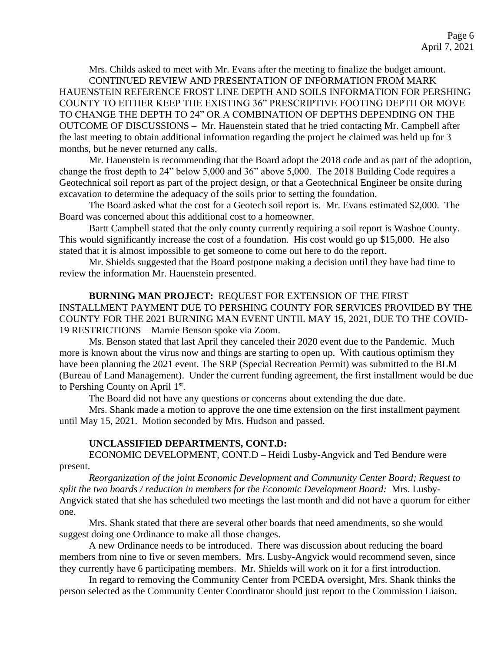Mrs. Childs asked to meet with Mr. Evans after the meeting to finalize the budget amount. CONTINUED REVIEW AND PRESENTATION OF INFORMATION FROM MARK HAUENSTEIN REFERENCE FROST LINE DEPTH AND SOILS INFORMATION FOR PERSHING COUNTY TO EITHER KEEP THE EXISTING 36" PRESCRIPTIVE FOOTING DEPTH OR MOVE TO CHANGE THE DEPTH TO 24" OR A COMBINATION OF DEPTHS DEPENDING ON THE OUTCOME OF DISCUSSIONS – Mr. Hauenstein stated that he tried contacting Mr. Campbell after the last meeting to obtain additional information regarding the project he claimed was held up for 3 months, but he never returned any calls.

Mr. Hauenstein is recommending that the Board adopt the 2018 code and as part of the adoption, change the frost depth to 24" below 5,000 and 36" above 5,000. The 2018 Building Code requires a Geotechnical soil report as part of the project design, or that a Geotechnical Engineer be onsite during excavation to determine the adequacy of the soils prior to setting the foundation.

The Board asked what the cost for a Geotech soil report is. Mr. Evans estimated \$2,000. The Board was concerned about this additional cost to a homeowner.

Bartt Campbell stated that the only county currently requiring a soil report is Washoe County. This would significantly increase the cost of a foundation. His cost would go up \$15,000. He also stated that it is almost impossible to get someone to come out here to do the report.

Mr. Shields suggested that the Board postpone making a decision until they have had time to review the information Mr. Hauenstein presented.

**BURNING MAN PROJECT:** REQUEST FOR EXTENSION OF THE FIRST INSTALLMENT PAYMENT DUE TO PERSHING COUNTY FOR SERVICES PROVIDED BY THE COUNTY FOR THE 2021 BURNING MAN EVENT UNTIL MAY 15, 2021, DUE TO THE COVID-19 RESTRICTIONS – Marnie Benson spoke via Zoom.

Ms. Benson stated that last April they canceled their 2020 event due to the Pandemic. Much more is known about the virus now and things are starting to open up. With cautious optimism they have been planning the 2021 event. The SRP (Special Recreation Permit) was submitted to the BLM (Bureau of Land Management). Under the current funding agreement, the first installment would be due to Pershing County on April 1st.

The Board did not have any questions or concerns about extending the due date.

Mrs. Shank made a motion to approve the one time extension on the first installment payment until May 15, 2021. Motion seconded by Mrs. Hudson and passed.

## **UNCLASSIFIED DEPARTMENTS, CONT.D:**

ECONOMIC DEVELOPMENT, CONT.D – Heidi Lusby-Angvick and Ted Bendure were present.

*Reorganization of the joint Economic Development and Community Center Board; Request to split the two boards / reduction in members for the Economic Development Board:* Mrs. Lusby-Angvick stated that she has scheduled two meetings the last month and did not have a quorum for either one.

Mrs. Shank stated that there are several other boards that need amendments, so she would suggest doing one Ordinance to make all those changes.

A new Ordinance needs to be introduced. There was discussion about reducing the board members from nine to five or seven members. Mrs. Lusby-Angvick would recommend seven, since they currently have 6 participating members. Mr. Shields will work on it for a first introduction.

In regard to removing the Community Center from PCEDA oversight, Mrs. Shank thinks the person selected as the Community Center Coordinator should just report to the Commission Liaison.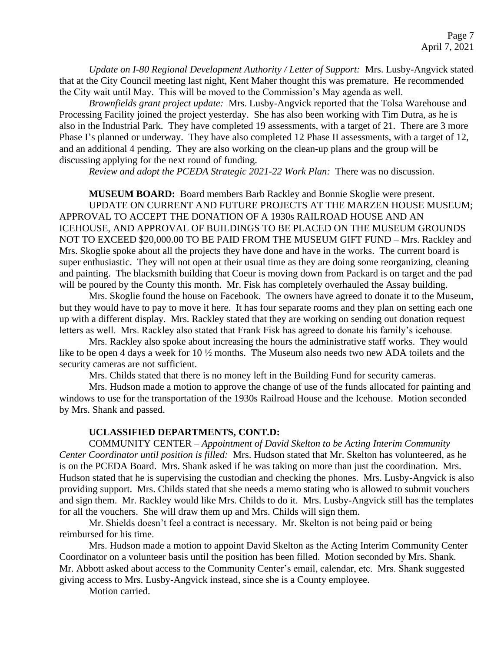*Update on I-80 Regional Development Authority / Letter of Support:* Mrs. Lusby-Angvick stated that at the City Council meeting last night, Kent Maher thought this was premature. He recommended the City wait until May. This will be moved to the Commission's May agenda as well.

*Brownfields grant project update:* Mrs. Lusby-Angvick reported that the Tolsa Warehouse and Processing Facility joined the project yesterday. She has also been working with Tim Dutra, as he is also in the Industrial Park. They have completed 19 assessments, with a target of 21. There are 3 more Phase I's planned or underway. They have also completed 12 Phase II assessments, with a target of 12, and an additional 4 pending. They are also working on the clean-up plans and the group will be discussing applying for the next round of funding.

*Review and adopt the PCEDA Strategic 2021-22 Work Plan:* There was no discussion.

**MUSEUM BOARD:** Board members Barb Rackley and Bonnie Skoglie were present. UPDATE ON CURRENT AND FUTURE PROJECTS AT THE MARZEN HOUSE MUSEUM; APPROVAL TO ACCEPT THE DONATION OF A 1930s RAILROAD HOUSE AND AN ICEHOUSE, AND APPROVAL OF BUILDINGS TO BE PLACED ON THE MUSEUM GROUNDS NOT TO EXCEED \$20,000.00 TO BE PAID FROM THE MUSEUM GIFT FUND – Mrs. Rackley and Mrs. Skoglie spoke about all the projects they have done and have in the works. The current board is super enthusiastic. They will not open at their usual time as they are doing some reorganizing, cleaning and painting. The blacksmith building that Coeur is moving down from Packard is on target and the pad will be poured by the County this month. Mr. Fisk has completely overhauled the Assay building.

Mrs. Skoglie found the house on Facebook. The owners have agreed to donate it to the Museum, but they would have to pay to move it here. It has four separate rooms and they plan on setting each one up with a different display. Mrs. Rackley stated that they are working on sending out donation request letters as well. Mrs. Rackley also stated that Frank Fisk has agreed to donate his family's icehouse.

Mrs. Rackley also spoke about increasing the hours the administrative staff works. They would like to be open 4 days a week for 10  $\frac{1}{2}$  months. The Museum also needs two new ADA toilets and the security cameras are not sufficient.

Mrs. Childs stated that there is no money left in the Building Fund for security cameras.

Mrs. Hudson made a motion to approve the change of use of the funds allocated for painting and windows to use for the transportation of the 1930s Railroad House and the Icehouse. Motion seconded by Mrs. Shank and passed.

#### **UCLASSIFIED DEPARTMENTS, CONT.D:**

COMMUNITY CENTER – *Appointment of David Skelton to be Acting Interim Community Center Coordinator until position is filled:* Mrs. Hudson stated that Mr. Skelton has volunteered, as he is on the PCEDA Board. Mrs. Shank asked if he was taking on more than just the coordination. Mrs. Hudson stated that he is supervising the custodian and checking the phones. Mrs. Lusby-Angvick is also providing support. Mrs. Childs stated that she needs a memo stating who is allowed to submit vouchers and sign them. Mr. Rackley would like Mrs. Childs to do it. Mrs. Lusby-Angvick still has the templates for all the vouchers. She will draw them up and Mrs. Childs will sign them.

Mr. Shields doesn't feel a contract is necessary. Mr. Skelton is not being paid or being reimbursed for his time.

Mrs. Hudson made a motion to appoint David Skelton as the Acting Interim Community Center Coordinator on a volunteer basis until the position has been filled. Motion seconded by Mrs. Shank. Mr. Abbott asked about access to the Community Center's email, calendar, etc. Mrs. Shank suggested giving access to Mrs. Lusby-Angvick instead, since she is a County employee.

Motion carried.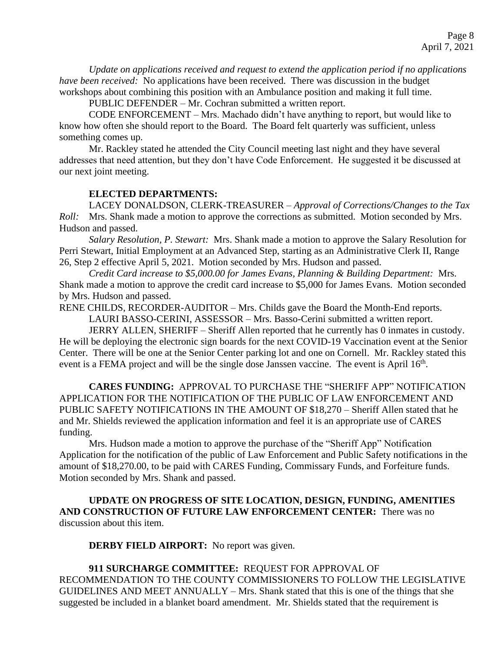*Update on applications received and request to extend the application period if no applications have been received:* No applications have been received. There was discussion in the budget workshops about combining this position with an Ambulance position and making it full time.

PUBLIC DEFENDER – Mr. Cochran submitted a written report.

CODE ENFORCEMENT – Mrs. Machado didn't have anything to report, but would like to know how often she should report to the Board. The Board felt quarterly was sufficient, unless something comes up.

Mr. Rackley stated he attended the City Council meeting last night and they have several addresses that need attention, but they don't have Code Enforcement. He suggested it be discussed at our next joint meeting.

## **ELECTED DEPARTMENTS:**

LACEY DONALDSON, CLERK-TREASURER – *Approval of Corrections/Changes to the Tax Roll:* Mrs. Shank made a motion to approve the corrections as submitted. Motion seconded by Mrs. Hudson and passed.

*Salary Resolution, P. Stewart:* Mrs. Shank made a motion to approve the Salary Resolution for Perri Stewart, Initial Employment at an Advanced Step, starting as an Administrative Clerk II, Range 26, Step 2 effective April 5, 2021. Motion seconded by Mrs. Hudson and passed.

*Credit Card increase to \$5,000.00 for James Evans, Planning & Building Department:* Mrs. Shank made a motion to approve the credit card increase to \$5,000 for James Evans. Motion seconded by Mrs. Hudson and passed.

RENE CHILDS, RECORDER-AUDITOR – Mrs. Childs gave the Board the Month-End reports.

LAURI BASSO-CERINI, ASSESSOR – Mrs. Basso-Cerini submitted a written report.

JERRY ALLEN, SHERIFF – Sheriff Allen reported that he currently has 0 inmates in custody. He will be deploying the electronic sign boards for the next COVID-19 Vaccination event at the Senior Center. There will be one at the Senior Center parking lot and one on Cornell. Mr. Rackley stated this event is a FEMA project and will be the single dose Janssen vaccine. The event is April 16<sup>th</sup>.

**CARES FUNDING:** APPROVAL TO PURCHASE THE "SHERIFF APP" NOTIFICATION APPLICATION FOR THE NOTIFICATION OF THE PUBLIC OF LAW ENFORCEMENT AND PUBLIC SAFETY NOTIFICATIONS IN THE AMOUNT OF \$18,270 – Sheriff Allen stated that he and Mr. Shields reviewed the application information and feel it is an appropriate use of CARES funding.

Mrs. Hudson made a motion to approve the purchase of the "Sheriff App" Notification Application for the notification of the public of Law Enforcement and Public Safety notifications in the amount of \$18,270.00, to be paid with CARES Funding, Commissary Funds, and Forfeiture funds. Motion seconded by Mrs. Shank and passed.

**UPDATE ON PROGRESS OF SITE LOCATION, DESIGN, FUNDING, AMENITIES AND CONSTRUCTION OF FUTURE LAW ENFORCEMENT CENTER:** There was no discussion about this item.

**DERBY FIELD AIRPORT:** No report was given.

**911 SURCHARGE COMMITTEE:** REQUEST FOR APPROVAL OF RECOMMENDATION TO THE COUNTY COMMISSIONERS TO FOLLOW THE LEGISLATIVE GUIDELINES AND MEET ANNUALLY – Mrs. Shank stated that this is one of the things that she suggested be included in a blanket board amendment. Mr. Shields stated that the requirement is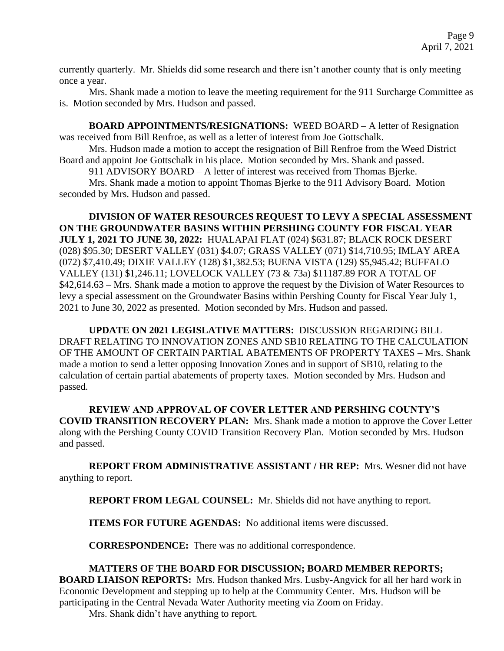currently quarterly. Mr. Shields did some research and there isn't another county that is only meeting once a year.

Mrs. Shank made a motion to leave the meeting requirement for the 911 Surcharge Committee as is. Motion seconded by Mrs. Hudson and passed.

**BOARD APPOINTMENTS/RESIGNATIONS:** WEED BOARD – A letter of Resignation was received from Bill Renfroe, as well as a letter of interest from Joe Gottschalk.

Mrs. Hudson made a motion to accept the resignation of Bill Renfroe from the Weed District Board and appoint Joe Gottschalk in his place. Motion seconded by Mrs. Shank and passed.

911 ADVISORY BOARD – A letter of interest was received from Thomas Bjerke.

Mrs. Shank made a motion to appoint Thomas Bjerke to the 911 Advisory Board. Motion seconded by Mrs. Hudson and passed.

**DIVISION OF WATER RESOURCES REQUEST TO LEVY A SPECIAL ASSESSMENT ON THE GROUNDWATER BASINS WITHIN PERSHING COUNTY FOR FISCAL YEAR JULY 1, 2021 TO JUNE 30, 2022:** HUALAPAI FLAT (024) \$631.87; BLACK ROCK DESERT (028) \$95.30; DESERT VALLEY (031) \$4.07; GRASS VALLEY (071) \$14,710.95; IMLAY AREA (072) \$7,410.49; DIXIE VALLEY (128) \$1,382.53; BUENA VISTA (129) \$5,945.42; BUFFALO VALLEY (131) \$1,246.11; LOVELOCK VALLEY (73 & 73a) \$11187.89 FOR A TOTAL OF \$42,614.63 – Mrs. Shank made a motion to approve the request by the Division of Water Resources to levy a special assessment on the Groundwater Basins within Pershing County for Fiscal Year July 1, 2021 to June 30, 2022 as presented. Motion seconded by Mrs. Hudson and passed.

**UPDATE ON 2021 LEGISLATIVE MATTERS:** DISCUSSION REGARDING BILL DRAFT RELATING TO INNOVATION ZONES AND SB10 RELATING TO THE CALCULATION OF THE AMOUNT OF CERTAIN PARTIAL ABATEMENTS OF PROPERTY TAXES – Mrs. Shank made a motion to send a letter opposing Innovation Zones and in support of SB10, relating to the calculation of certain partial abatements of property taxes. Motion seconded by Mrs. Hudson and passed.

**REVIEW AND APPROVAL OF COVER LETTER AND PERSHING COUNTY'S COVID TRANSITION RECOVERY PLAN:** Mrs. Shank made a motion to approve the Cover Letter along with the Pershing County COVID Transition Recovery Plan. Motion seconded by Mrs. Hudson and passed.

**REPORT FROM ADMINISTRATIVE ASSISTANT / HR REP:** Mrs. Wesner did not have anything to report.

**REPORT FROM LEGAL COUNSEL:** Mr. Shields did not have anything to report.

**ITEMS FOR FUTURE AGENDAS:** No additional items were discussed.

**CORRESPONDENCE:** There was no additional correspondence.

# **MATTERS OF THE BOARD FOR DISCUSSION; BOARD MEMBER REPORTS;**

**BOARD LIAISON REPORTS:** Mrs. Hudson thanked Mrs. Lusby-Angvick for all her hard work in Economic Development and stepping up to help at the Community Center. Mrs. Hudson will be participating in the Central Nevada Water Authority meeting via Zoom on Friday.

Mrs. Shank didn't have anything to report.